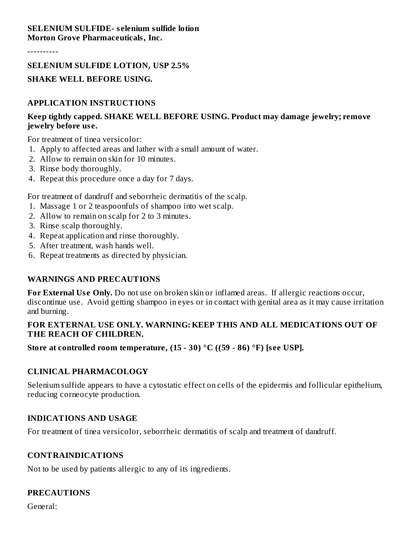#### **SELENIUM SULFIDE- s elenium sulfide lotion Morton Grove Pharmaceuticals, Inc.**

----------

### **SELENIUM SULFIDE LOTION, USP 2.5%**

### **SHAKE WELL BEFORE USING.**

### **APPLICATION INSTRUCTIONS**

### **Keep tightly capped. SHAKE WELL BEFORE USING. Product may damage jewelry; remove jewelry before us e.**

For treatment of tinea versicolor:

- 1. Apply to affected areas and lather with a small amount of water.
- 2. Allow to remain on skin for 10 minutes.
- 3. Rinse body thoroughly.
- 4. Repeat this procedure once a day for 7 days.

For treatment of dandruff and seborrheic dermatitis of the scalp.

- 1. Massage 1 or 2 teaspoonfuls of shampoo into wet scalp.
- 2. Allow to remain on scalp for 2 to 3 minutes.
- 3. Rinse scalp thoroughly.
- 4. Repeat application and rinse thoroughly.
- 5. After treatment, wash hands well.
- 6. Repeat treatments as directed by physician.

### **WARNINGS AND PRECAUTIONS**

**For External Use Only.** Do not use on broken skin or inflamed areas. If allergic reactions occur, discontinue use. Avoid getting shampoo in eyes or in contact with genital area as it may cause irritation and burning.

### **FOR EXTERNAL USE ONLY. WARNING: KEEP THIS AND ALL MEDICATIONS OUT OF THE REACH OF CHILDREN.**

**Store at controlled room temperature, (15 - 30) °C ((59 - 86) °F) [s ee USP].**

### **CLINICAL PHARMACOLOGY**

Selenium sulfide appears to have a cytostatic effect on cells of the epidermis and follicular epithelium, reducing corneocyte production.

### **INDICATIONS AND USAGE**

For treatment of tinea versicolor, seborrheic dermatitis of scalp and treatment of dandruff.

### **CONTRAINDICATIONS**

Not to be used by patients allergic to any of its ingredients.

### **PRECAUTIONS**

General: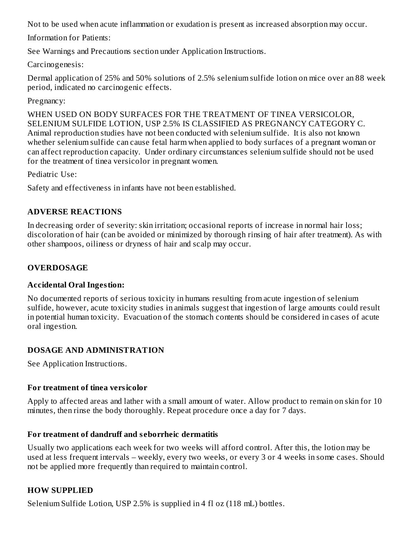Not to be used when acute inflammation or exudation is present as increased absorption may occur.

Information for Patients:

See Warnings and Precautions section under Application Instructions.

Carcinogenesis:

Dermal application of 25% and 50% solutions of 2.5% selenium sulfide lotion on mice over an 88 week period, indicated no carcinogenic effects.

Pregnancy:

WHEN USED ON BODY SURFACES FOR THE TREATMENT OF TINEA VERSICOLOR, SELENIUM SULFIDE LOTION, USP 2.5% IS CLASSIFIED AS PREGNANCY CATEGORY C. Animal reproduction studies have not been conducted with selenium sulfide. It is also not known whether selenium sulfide can cause fetal harm when applied to body surfaces of a pregnant woman or can affect reproduction capacity. Under ordinary circumstances selenium sulfide should not be used for the treatment of tinea versicolor in pregnant women.

Pediatric Use:

Safety and effectiveness in infants have not been established.

## **ADVERSE REACTIONS**

In decreasing order of severity: skin irritation; occasional reports of increase in normal hair loss; discoloration of hair (can be avoided or minimized by thorough rinsing of hair after treatment). As with other shampoos, oiliness or dryness of hair and scalp may occur.

### **OVERDOSAGE**

### **Accidental Oral Ingestion:**

No documented reports of serious toxicity in humans resulting from acute ingestion of selenium sulfide, however, acute toxicity studies in animals suggest that ingestion of large amounts could result in potential human toxicity. Evacuation of the stomach contents should be considered in cases of acute oral ingestion.

### **DOSAGE AND ADMINISTRATION**

See Application Instructions.

### **For treatment of tinea versicolor**

Apply to affected areas and lather with a small amount of water. Allow product to remain on skin for 10 minutes, then rinse the body thoroughly. Repeat procedure once a day for 7 days.

### **For treatment of dandruff and s eborrheic dermatitis**

Usually two applications each week for two weeks will afford control. After this, the lotion may be used at less frequent intervals – weekly, every two weeks, or every 3 or 4 weeks in some cases. Should not be applied more frequently than required to maintain control.

### **HOW SUPPLIED**

Selenium Sulfide Lotion, USP 2.5% is supplied in 4 fl oz (118 mL) bottles.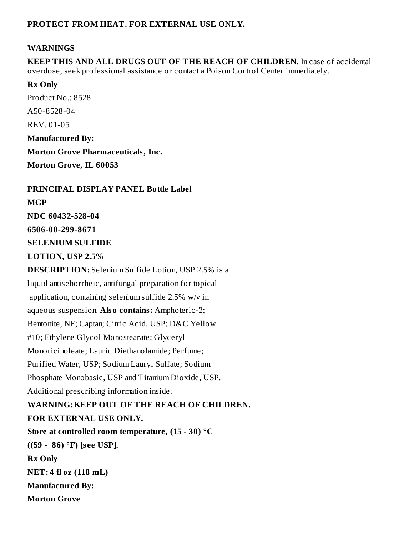### **PROTECT FROM HEAT. FOR EXTERNAL USE ONLY.**

#### **WARNINGS**

**KEEP THIS AND ALL DRUGS OUT OF THE REACH OF CHILDREN.** In case of accidental overdose, seek professional assistance or contact a Poison Control Center immediately.

### **Rx Only**

Product No.: 8528 A50-8528-04 REV. 01-05 **Manufactured By: Morton Grove Pharmaceuticals, Inc. Morton Grove, IL 60053**

**PRINCIPAL DISPLAY PANEL Bottle Label**

#### **MGP**

**NDC 60432-528-04**

**6506-00-299-8671**

**SELENIUM SULFIDE**

**LOTION, USP 2.5%**

**DESCRIPTION:** Selenium Sulfide Lotion, USP 2.5% is a liquid antiseborrheic, antifungal preparation for topical application, containing selenium sulfide 2.5% w/v in aqueous suspension. **Also contains:** Amphoteric-2; Bentonite, NF; Captan; Citric Acid, USP; D&C Yellow #10; Ethylene Glycol Monostearate; Glyceryl Monoricinoleate; Lauric Diethanolamide; Perfume; Purified Water, USP; Sodium Lauryl Sulfate; Sodium Phosphate Monobasic, USP and Titanium Dioxide, USP. Additional prescribing information inside. **WARNING: KEEP OUT OF THE REACH OF CHILDREN. FOR EXTERNAL USE ONLY. Store at controlled room temperature, (15 - 30) °C ((59 - 86) °F) [s ee USP]. Rx Only NET: 4 fl oz (118 mL) Manufactured By: Morton Grove**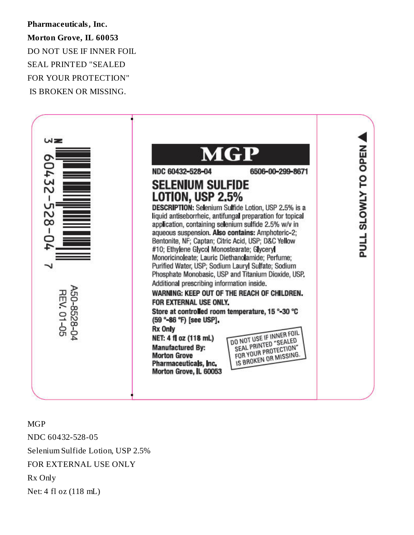**Pharmaceuticals, Inc. Morton Grove, IL 60053** DO NOT USE IF INNER FOIL SEAL PRINTED "SEALED FOR YOUR PROTECTION" IS BROKEN OR MISSING.



MGP NDC 60432-528-05 Selenium Sulfide Lotion, USP 2.5% FOR EXTERNAL USE ONLY Rx Only Net: 4 fl oz (118 mL)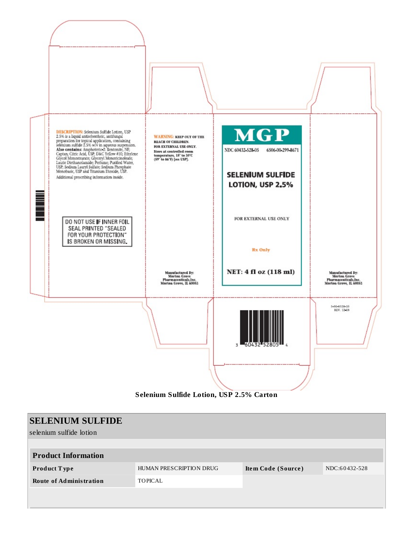

| <b>SELENIUM SULFIDE</b>        |                                               |  |               |
|--------------------------------|-----------------------------------------------|--|---------------|
| selenium sulfide lotion        |                                               |  |               |
|                                |                                               |  |               |
| <b>Product Information</b>     |                                               |  |               |
| Product Type                   | HUMAN PRESCRIPTION DRUG<br>Item Code (Source) |  | NDC:60432-528 |
| <b>Route of Administration</b> | <b>TOPICAL</b>                                |  |               |
|                                |                                               |  |               |
|                                |                                               |  |               |